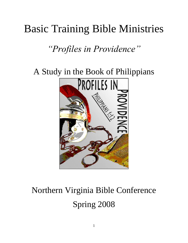## Basic Training Bible Ministries

*"Profiles in Providence"*

A Study in the Book of Philippians



# Northern Virginia Bible Conference Spring 2008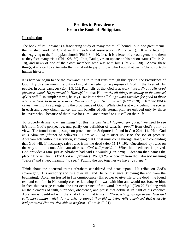## **Profiles in Providence From the Book of Philippians**

#### **Introduction**

The book of Philippians is a fascinating study of many topics, all bound up in one great theme: the finished work of Christ in His death and resurrection (Phi 2:5–11). It is a letter of thanksgiving to the Philippian church (Phi 1:3; 4:10, 14). It is a letter of encouragement to them as they face many trials (Phi 1:28–30). In it, Paul gives an update on his prison status (Phi 1:12– 18), and news of one of their own members who was with him (Phi 2:25–30). Above these things, it is a call to enter into the unshakeable joy of those who know that Jesus Christ controls human history.

It is here we begin to see the over-arching truth that runs through this epistle: the Providence of God. By this we mean the outworking of the redemptive purpose of God in the lives of His people. In other passages (Eph 1:9, 11), Paul tells us that God is at work *"according to His good pleasure, which He purposed in Himself,"* so that He *"works all things according to the counsel of His will."* In simpler terms, he says *"we know that all things work together for good to those who love God, to those who are called according to His purpose"* (Rom 8:28). Here we find a caveat, we might say, regarding the providence of God. While God is at work behind the scenes in each and every circumstance, the full benefits of His eternal plan are enjoyed only by those believers who—because of their love for Him—are devoted to His call on their life.

To properly define how *"all things"* of this life can *"work together for good,"* we need to see life from God's perspective, and purify our definition of what is *"good"* from God's point of view. The foundational passage on providence in Scripture is found in Gen 22:1–14. Here God calls Abraham ("father of believers"—Rom 4:12, 16) to offer up Isaac, the son of promise. Abraham acts without reservation, knowing that Christ must come through Isaac, and concluding that God will, if necessary, raise Isaac from the dead (Heb 11:17–19). Questioned by Isaac on the way to the mount, Abraham affirms, *"God will provide."* When his obedience is proved, God provides a ram, just as Abraham had said He would (Gen 22:8). Abraham then names the place "Jehovah Jireh" (*The Lord will provide*). We get "providence" from the Latin *pro* meaning "before" and *video*, meaning *"*to see.*"* Putting the two together we have *"provide."*

Think about the doctrinal truths Abraham considered and acted upon. He relied on God's sovereignty (His authority and rule over all), and His omniscience (knowing the end from the beginning). Abraham trusted in His omnipotence (His power to give life to the dead); he found rest and comfort in His omnipresence, knowing God was with him and would not forsake him. In fact, this passage contains the first occurrence of the word *"worship"* (Gen 22:5) along with all the elements of faith, surrender, obedience, and praise that define it. In light of his conduct, Abraham is identified with the kind of faith that trusts in *"God, who gives life to the dead and calls those things which do not exist as though they did … being fully convinced that what He had promised He was also able to perform"* (Rom 4:17, 21).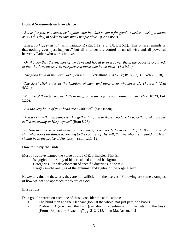#### **Biblical Statements on Providence**

*"But as for you, you meant evil against me; but God meant it for good, in order to bring it about as it is this day, in order to save many people alive"* (Gen 50:20).

*"And it so happened …"* (with variations) (Rut 1:19; 2:3; 3:8; Est 5:1): This phrase reminds us that nothing ever "just happens," but all is under the control of an all wise and all-powerful heavenly Father who works in love.

*"On the day that the enemies of the Jews had hoped to overpower them, the opposite occurred, in that the Jews themselves overpowered those who hated them"* (Est 9:1b).

*"The good hand of the Lord God upon me …"* (variations) (Ezr 7:28; 8:18, 22, 31; Neh 2:8, 18).

*"The Most High rules in the kingdom of men, and gives it to whomever He chooses" (*Dan 4:32b).

*"Not one of them* [sparrows] *falls to the ground apart from your Father's will"* (Mat 10:29; Luk 12:6).

*"But the very hairs of your head are numbered"* (Mat 10:30).

*"And we know that all things work together for good to those who love God, to those who are the called according to His purpose"* (Rom 8:28).

*"In Him also we have obtained an inheritance, being predestined according to the purpose of Him who works all things according to the counsel of His will, that we who first trusted in Christ should be to the praise of His glory"* (Eph 1:11–12).

#### **How to Study the Bible**

Most of us have learned the value of the I.C.E. principle. That is:

Isagogics—the study of historical and cultural background.

Categories—the development of specific doctrines in the text.

Exegesis—the analysis of the grammar and syntax of the original text.

However valuable these are, they are not sufficient in themselves. Following are some examples of how we need to approach the Word of God.

#### Illustrations:

Do a google search on each one of these; consider the applications:

- 1. The blind men and the Elephant (look at the whole, not just part, of a book).
- 2. Professor Agassiz and the Fish (painstaking attention to minute detail is the key). [From "Expository Preaching" pg. 212–215, John MacArthur, Jr.]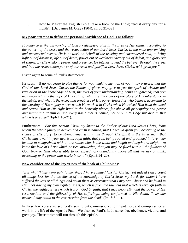3. How to Master the English Bible (take a book of the Bible; read it every day for a month). [Dr. James M. Gray (1904), cf. pg.31–32]

#### **My poor attempt to define the personal providence of God is as follows:**

*Providence is the outworking of God's redemptive plan in the lives of His saints, according to the pattern of the cross and the resurrection of our Lord Jesus Christ. In the most unpromising and unexpected events, He is at work on behalf of the trusting and surrendered soul, to bring light out of darkness, life out of death, power out of weakness, victory out of defeat, and glory out of shame. By His wisdom, power, and presence, He intends to lead the believer through the cross and into the resurrection power of our risen and glorified Lord Jesus Christ, with great joy."*

#### Listen again to some of Paul's statements:

He says, "[I] *do not cease to give thanks for you, making mention of you in my prayers: that the God of our Lord Jesus Christ, the Father of glory, may give to you the spirit of wisdom and revelation in the knowledge of Him, the eyes of your understanding being enlightened; that you may know what is the hope of His calling, what are the riches of the glory of His inheritance in the saints, and what is the exceeding greatness of His power toward us who believe, according to the working of His mighty power which He worked in Christ when He raised Him from the dead and seated Him at His right hand in the heavenly places, far above all principality and power and might and dominion, and every name that is named, not only in this age but also in that which is to come"* (Eph 1:16–21).

Furthermore: *"For this reason I bow my knees to the Father of our Lord Jesus Christ, from whom the whole family in heaven and earth is named, that He would grant you, according to the riches of His glory, to be strengthened with might through His Spirit in the inner man, that Christ may dwell in your hearts through faith; that you, being rooted and grounded in love, may be able to comprehend with all the saints what is the width and length and depth and height—to know the love of Christ which passes knowledge; that you may be filled with all the fullness of God. Now to Him who is able to do exceedingly abundantly above all that we ask or think, according to the power that works in us ..."* (Eph 3:14–20).

#### **Now consider one of the key verses of the book of Philippians**:

*"But what things were gain to me, these I have counted loss for Christ. Yet indeed I also count all things loss for the excellence of the knowledge of Christ Jesus my Lord, for whom I have suffered the loss of all things, and count them as excrement that I may win Christ and be found in Him, not having my own righteousness, which is from the law, but that which is through faith in Christ, the righteousness which is from God by faith; that I may know Him and the power of His resurrection, and the fellowship of His sufferings, being conformed to His death, if, by any means, I may attain to the resurrection from the dead*" (Phi 3:7–11).

In these few verses we see God's sovereignty, omniscience, omnipotence, and omnipresence at work in the life of the Apostle Paul. We also see Paul's faith, surrender, obedience, victory, and great joy. These topics will run through this epistle.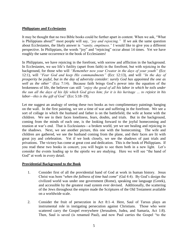#### **Philippians and Ecclesiastes**

It may be thought that no two Bible books could be further apart in content. When we ask, "What is Philippians about?" most people will say, *"joy and rejoicing."* If we ask the same question about Ecclesiastes, the likely answer is *"vanity, emptiness."* I would like to give you a different perspective. In Philippians, the words "joy" and "rejoicing" occur about 14 times. Yet we have roughly the same occurrence in the book of Ecclesiastes!

In Philippians, we have rejoicing in the forefront, with sorrow and affliction in the background. In Ecclesiastes, we see life's futility (apart from faith) in the forefront, but with rejoicing in the background, for those who will *"Remember now your Creator in the days of your youth"* (Ecc 12:1), will *"Fear God and keep His commandments"* (Ecc 12:13), and will *"In the day of prosperity be joyful, but in the day of adversity consider: surely God has appointed the one as well as the other"* (Ecc 7:14). Because faith brings God's power into the equation of the brokenness of life, the believer can still *"enjoy the good of all his labor in which he toils under the sun all the days of his life which God gives him; for it is his heritage … to rejoice in his labor—this is the gift of God"* (Ecc 5:18–19).

Let me suggest an analogy of seeing these two books as two complimentary paintings hanging on the wall. In the first painting, we see a time of war and suffering in the forefront. We see a sort of collage in which the husband and father is on the battlefield, the wife at home with the children. We see in their faces loneliness, fears, doubts, and trials. But in the background, coming from the minds of each one, is the looking forward to the joyful homecoming and reunion at war's end. That is Ecclesiastes—a broken world, yet we see healing and rejoicing in the shadows. Next, we see another picture, this one with the homecoming. The wife and children are gathered, we see the husband coming from the plane, and their faces are lit with great joy and celebration. Yet if we look closely, we see the shadows of past trials and privations. The victory has come at great cost and dedication. This is the book of Philippians. If you read these two books in concert, you will begin to see them both in a new light. Let's consider the events leading up to the epistle we are studying. Here we will see "the hand of God" at work in every detail.

#### **Providential Background to the Book**

- 1. Consider first of all the providential hand of God at work in human history. Jesus Christ was born "*when the fullness of time had come*" (Gal 4:4). By God's design the civilized world was under one government (Rome), speaking one language (Greek), and accessible by the greatest road system ever devised. Additionally, the scattering of the Jews throughout the empire made the Scriptures of the Old Testament available on a worldwide scale.
- 2. Consider the fruit of persecution in Act 8:1–4. Here, Saul of Tarsus plays an instrumental role in instigating persecution against Christians. Those who were scattered carry the Gospel everywhere (Jerusalem, Judea, and Samaria, Act 1:8). Then, Saul is saved (is renamed Paul), and now Paul carries the Gospel "to the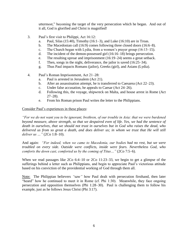uttermost," becoming the target of the very persecution which he began. And out of it all, God is glorified and Christ is magnified!

- 3. Paul's first visit to Philippi, Act 16:12:
	- a. Paul, Silas (15:40), Timothy (16:1–3), and Luke (16:10) are in Troas.
	- b. The Macedonian call (16:9) comes following three closed doors (16:6–8).
	- c. The Church began with Lydia, from a women's prayer group (16:13–15).
	- d. The incident of the demon-possessed girl (16:16–18) brings persecution.
	- e. The resulting uproar and imprisonment (16:19–24) seems a great setback.
	- f. Then, songs in the night, deliverance, the jailor is saved (16:25–34).
	- g. Thus Paul impacts Romans (jailor), Greeks (girl), and Asians (Lydia).
- 4. Paul's Roman Imprisonment, Act 21–28:
	- a. Paul is arrested in Jerusalem (Act 21).
	- b. After an assassination attempt, he is transferred to Caesarea (Act 22–23).
	- c. Under false accusation, he appeals to Caesar (Act 24–26).
	- d. Following this, the voyage, shipwreck on Malta, and house arrest in Rome (Act  $27-28$ ).
	- e. From his Roman prison Paul writes the letter to the Philippians.

#### Consider Paul's experiences in these places:

*"For we do not want you to be ignorant, brethren, of our trouble in Asia: that we were burdened beyond measure, above strength, so that we despaired even of life. Yes, we had the sentence of death in ourselves, that we should not trust in ourselves but in God who raises the dead, who delivered us from so great a death, and does deliver us; in whom we trust that He will still deliver us …"* (2Co 1:8–10).

And again: *"For indeed, when we came to Macedonia, our bodies had no rest, but we were troubled on every side. Outside were conflicts, inside were fears. Nevertheless God, who comforts the down cast, comforted us by the coming of Titus…"* (2Co 7:5–6).

When we read passages like 2Co 6:4–10 or 2Co 11:23–33, we begin to get a glimpse of the sufferings behind a letter such as Philippians, and begin to appreciate Paul's victorious attitude based on his conviction of the providential working of God through them all.

Note: The Philippian believers *"*saw*"* how Paul dealt with persecution firsthand, then later "heard" how he continued to meet it in Rome (cf. Phi 1:30). Meanwhile, they face ongoing persecution and opposition themselves (Phi 1:28–30). Paul is challenging them to follow his example, just as he follows Jesus Christ (Phi 3:17).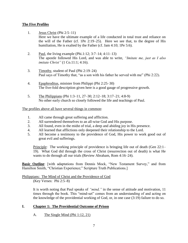#### **The Five Profiles**

- 1. Jesus Christ (Phi 2:5–11)
	- Here we have the ultimate example of a life conducted in total trust and reliance on the will of the Father (cf. 1Pe 2:19–25). Here we see that, to the degree of His humiliation, He is exalted by the Father (cf. Jam 4:10; 1Pe 5:6).
- 2. Paul, the living example (Phi.1:12; 3:7–14; 4:11–13) The apostle followed His Lord, and was able to write, *"Imitate me, just as I also imitate Christ"* (1 Co.11:1; 4:16).
- 3. Timothy, student of Paul (Phi 2:19–24) Paul says of Timothy that, "as a son with his father he served with me" (Phi 2:22).
- 4. Epaphroditus, minister from Philippi (Phi 2:25–30) The five-fold description given here is a good gauge of progressive growth.
- 5. The Philippians (Phi 1:3–11, 27–30; 2:12–18; 3:17–21; 4:8-9) No other early church so closely followed the life and teachings of Paul.

#### The profiles above all have several things in common:

- 1. All came through great suffering and affliction.
- 2. All surrendered themselves to an all-wise God and His purpose.
- 3. All found, even in the midst of trial, a deep and abiding joy in His presence.
- 4. All learned that afflictions only deepened their relationship to the Lord.
- 5. All become a testimony to the providence of God, His power to work good out of great evil and sufferings.

Principle: The working principle of providence is bringing life out of death (Gen 22:1– 19). What God did through the cross of Christ (resurrection out of death) is what He wants to do through all our trials (Review Abraham, Rom 4:16–24).

**Basic Outline**: [with adaptations from Dennis Mock, "New Testament Survey," and from Hamilton Smith, "Christian Experience;" Scripture Truth Publications.]

#### Philippians: The Mind of Christ and the Providence of God (Key Verses: Phi 2:5–8)

It is worth noting that Paul speaks of *"mind,"* in the sense of attitude and motivation, 11 times through the book. This "mind-set" comes from an understanding of and acting on the knowledge of the providential working of God, or, in one case (3:19) failure to do so.

## **I. Chapter 1: The Providential Outcome of Prison**

A. The Single Mind (Phi 1:12, 21)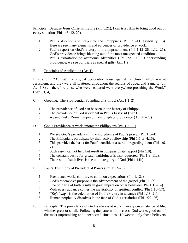Principle: Because Jesus Christ is my life (Phi 1:21), I can trust Him to bring good out of every situation (Phi 1: 6, 12, 29).

- 1. Paul's affection and prayer for the Philippians (Phi 1:1–11, especially 1:6). Here we see many elements and evidences of providence at work.
- 2. Paul's report on God's victory in his imprisonment (Phi 1:12–26; 1:12, 21). God's providence brings blessing out of the most unexpected conditions.
- 3. Paul's exhortation to overcome adversities (Phi 1:27–30). Understanding providence, we see our trials as special gifts (Jam 1:2).
- B. Principles of Application (Act 1)

Illustration: "At that time a great persecution arose against the church which was at Jerusalem; and they were all scattered throughout the regions of Judea and Samaria (cf. Act 1:8) … therefore those who were scattered went everywhere preaching the Word." (Act 8:1, 4).

## C. Greeting: The Providential Founding of Philippi (Act 1:1–2)

- 1. The providence of God can be seen in the history of Philippi.
- 2. The providence of God is evident in Paul's first visit (Act 16).
- 3. Again, Paul's Roman imprisonment displays providence (Act 21–28).
- D. God's Providence at work among the Philippians (Phi 1:3–11)
	- 1. We see God's providence in the ingredients of Paul's prayer (Phi 1:3–4).
	- 2. The Philippians participate by their active fellowship (Phi 1:5 cf. 4:15).
	- 3. This provides the basis for Paul's confident assertion regarding them (Phi 1:6, 7).
	- 4. Such *esprit* cannot help but result in compassionate rapport (Phi 1:8).
	- 5. The constant desire for greater fruitfulness is also requested (Phi 1:9–11a).
	- 6. The result of such lives is the ultimate glory of God (Phi 1:11b).
- E. Paul's Testimony of Providential Power (Phi 1:12–26)
	- 1. Providence works contrary to common expectations (Phi 1:12a).
	- 2. God's redemptive purpose is the advancement of the gospel (Phi 1:12b).
	- 3. One bold life of faith results in great impact on other believers (Phi 1:13–14).
	- 4. With every advance comes the inevitability of spiritual conflict (Phi 1:15–17).
	- 5. *"Rejoicing"* is the celebration of God's victory in advance (Phi 1:18–21).
	- 6. Human perplexity dissolves in the face of God's certainties (Phi 1:22–26).
- F. Principle: The providence of God is always at work in every circumstance of life, whether great or small. Following the pattern of the cross, God works good out of the most unpromising and unexpected situations. However, only those believers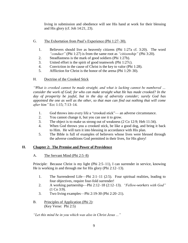living in submission and obedience will see His hand at work for their blessing and His glory (cf. Joh 14:21, 23).

- G. The Exhortation from Paul's Experience (Phi 1:27–30).
	- 1. Believers should live as heavenly citizens (Phi 1:27a cf. 3:20). The word *"conduct"* (Phi 1:27) is from the same root as *"citizenship"* (Phi 3:20).
	- 2. Steadfastness is the mark of good soldiers (Phi 1:27b).
	- 3. United effort is the spirit of good teamwork (Phi 1:27c).
	- 4. Conviction in the cause of Christ is the key to valor (Phi 1:28).
	- 5. Affliction for Christ is the honor of the arena (Phi 1:29–30).

## H. Doctrine of the Crooked Stick

*"What is crooked cannot be made straight, and what is lacking cannot be numbered … consider the work of God; for who can make straight what He has made crooked? In the day of prosperity be joyful, but in the day of adversity consider; surely God has appointed the one as well as the other, so that man can find out nothing that will come after him"* Ecc 1:15; 7:13–14.

- 1. God throws into every life a "crooked stick"— an adverse circumstance.
- 2. You cannot change it, but you can use it to grow.
- 3. The object is to make us strong out of weakness (2 Co 12:9; Heb 11:34).
- 4. When God throws you a crooked stick, be like a good dog, and bring it back to Him. He will turn it into blessing in accordance with His plan.
- 5. The Bible is full of examples of believers whose lives were blessed through the adverse conditions God permitted in their lives, for His glory!

## **II. Chapter 2: The Premise and Power of Providence**

## A. The Servant Mind (Phi 2:5–8)

Principle: Because Christ is my light (Phi 2:5–11), I can surrender in service, knowing He is working in and through me for His glory (Phi 2:12–13).

- 1. The Surrendered Life—Phi 2:1–11 (2:5). Four spiritual realities, leading to four objectives, require four-fold surrender!
- 2. A working partnership—Phi 2:12–18 (2:12–13). *"Fellow-workers with God"* (1 Co 3:9).
- 3. Two living examples—Phi 2:19-30 (Phi 2:20–21).
- B. Principles of Application (Phi 2): (Key Verse: Phi 2:5)

*"Let this mind be in you which was also in Christ Jesus ..."*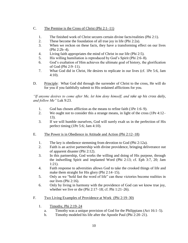## C. The Premise is the Cross of Christ (Phi 2:1–11)

- 1. The finished work of Christ secures certain divine facts/realities (Phi 2:1).
- 2. These become the foundation of all true joy in life (Phi 2:2a).
- 3. When we reckon on these facts, they have a transforming effect on our lives (Phi 2:2b–4).
- 4. Living faith appropriates the mind of Christ in our life (Phi 2:5).
- 5. His willing humiliation is reproduced by God's Spirit (Phi 2:6–8).
- 6. God's exaltation of Him achieves the ultimate goal of history, the glorification of God (Phi 2:9–11).
- 7. What God did in Christ, He desires to replicate in our lives (cf. 1Pe 5:6, Jam 4:10).
- D. Principle: What God did through the surrender of Christ to the cross, He will do for you if you faithfully submit to His ordained afflictions for you.

*"If anyone desires to come after Me, let him deny himself, and take up his cross daily, and follow Me"* Luk 9:23.

- 1. God has chosen affliction as the means to refine faith (1Pe 1:6–9).
- 2. We ought not to consider this a strange means, in light of the cross (1Pe 4:12– 13).
- 3. If we will humble ourselves, God will surely exalt us in the perfection of His perfect timing (1Pe 5:6; Jam 4:10).
- E. The Power is in Obedience in Attitude and Action (Phi 2:12–18)
	- 1. The key is obedience stemming from devotion to God (Phi 2:12a).
	- 2. Faith is an active partnership with divine providence, bringing deliverance out of apparent disaster (Phi 2:12).
	- 3. In this partnership, God works the willing and doing of His purpose, through the indwelling Spirit and implanted Word (Phi 2:13; cf. Eph 3:7, 20; Jam 1:21).
	- 4. Faith response to adversities allows God to take the crooked things of life and make them straight for His glory (Phi 2:14–15).
	- 5. Only as we "hold fast the word of life" can these victories become realities in our lives (Phi 2:16).
	- 6. Only by living in harmony with the providence of God can we know true joy, whether we live or die (Phi 2:17–18; cf. Phi 1:21–26).
- F. Two Living Examples of Providence at Work (Phi 2:19–30)
	- 1. Timothy, Phi 2:19–24
		- a. Timothy was a unique provision of God for the Philippians (Act 16:1–5).
		- b. Timothy modeled his life after the Apostle Paul (Phi 2:20–21).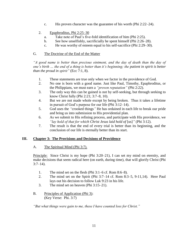- c. His proven character was the guarantee of his worth (Phi 2:22–24).
- 2. Epaphroditus, Phi 2:25–30
	- a. Take note of Paul's five-fold identification of him (Phi 2:25).
	- b. See how unselfishly, sacrificially he spent himself (Phi 2:26–28).
	- c. He was worthy of esteem equal to his self-sacrifice (Phi 2:29–30).

## G. The Doctrine of the End of the Matter

*"A good name is better than precious ointment, and the day of death than the day of one's birth … the end of a thing is better than it's beginning; the patient in spirit is better than the proud in spirit"* (Ecc 7:1, 8).

- 1. These statements are true only when we factor in the providence of God.
- 2. No one is born with a good name. Just like Paul, Timothy, Epaphroditus, or the Philippians, we must earn a *"proven reputation"* (Phi 2:22).
- 3. The only way this can be gained is not by self-seeking, but through seeking to know Christ fully (Phi 2:21; 3:7–8, 10).
- 4. But we are not made whole except by being broken. Thus it takes a lifetime in pursuit of God's purpose for our life (Phi 3:12–14).
- 5. God uses the *"*crooked things*"* He has ordained in each life to break our pride and bring us into submission to His providential plan.
- 6. As we submit to His refining process, and participate with His providence, we *"lay hold of that for which Christ Jesus laid hold of* [us]*"* (Phi 3:12).
- 7. The result is that the end of every trial is better than its beginning, and the conclusion of our life is eternally better than its start.

## **III. Chapter 3: The Provisions and Decisions of Providence**

## A. The Spiritual Mind (Phi 3:7).

Principle: Since Christ is my hope (Phi 3:20–21), I can set my mind on eternity, and make decisions that seem radical here (on earth, during time), that will glorify Christ (Phi  $3:7-14$ ).

- 1. The mind set on the flesh (Phi 3:1–6 cf. Rom 8:6–8).
- 2. The mind set on the Spirit (Phi 3:7–14 cf. Rom 8:3–5, 9-11,14). Here Paul lays out his decision to follow Luk 9:23 in his life.
- 3. The mind set on heaven (Phi 3:15–21).
- B. Principles of Application (Phi 3): (Key Verse: Phi. 3:7)

*"But what things were gain to me, these I have counted loss for Christ."*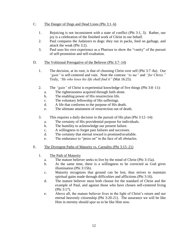- C. The Danger of Dogs and Dead Lions (Phi 3:1–6)
	- 1. Rejoicing is not inconsistent with a state of conflict (Phi 3:1, 3). Rather, our joy is a celebration of the finished work of Christ in our behalf.
	- 2. Paul compares the Judaizers to dogs: they run in packs, feed on garbage, and attack the weak (Phi 3:2).
	- 3. Paul uses his own experience as a Pharisee to show the "vanity" of the pursuit of self-promotion and self-exaltation.

#### D. The Volitional Prerogative of the Believer (Phi 3:7–14)

- 1. The decision, at its root, is that of choosing Christ over self (Phi 3:7–8a). Our *"gain"* is self-centered and vain. Note the contrast *"to me"* and *"for Christ."* Truly, *"He who loses his life shall find it"* (Mat 16:25).
- 2. The *"gain"* of Christ is experiential knowledge of five things (Phi 3:8–11):
	- a. The righteousness acquired through faith alone.
	- b. The enabling power of His resurrection life.
	- c. The voluntary fellowship of His sufferings.
	- d. A life that conforms to the purpose of His death.
	- e. The ultimate attainment of resurrection out of death.
- 3. This requires a daily decision in the pursuit of His plan (Phi 3:12–14):
	- a. The certainty of His providential purpose for individuals.
	- b. The humility to acknowledge our present failure.
	- c. A willingness to forget past failures and successes.
	- d. The certainty that eternal reward is promised/available.
	- e. The endurance to "press on" in the face of all obstacles.
- E. The Divergent Paths of Maturity vs. Carnality (Phi 3:15–21)
	- 1. The Path of Maturity
		- a. The mature believer seeks to live by the mind of Christ (Phi 3:15a).
		- b. At the same time, there is a willingness to be corrected as God gives illumination (Phi 3:15b).
		- c. Maturity recognizes that ground can be lost, thus strives to maintain spiritual gains made through difficulties and afflictions (Phi 3:16).
		- d. The mature believer must both choose for the standard of Christ and the example of Paul, and against those who have chosen self-centered living (Phi 3:17).
		- e. Above all, the mature believer lives in the light of Christ's return and our eternal heavenly citizenship (Phi 3:20-21). The assurance we will be like Him in eternity should spur us to be like Him now.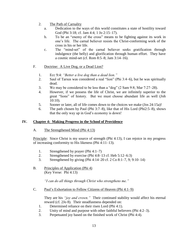- 2. The Path of Carnality
	- a. Dedication to the ways of this world constitutes a state of hostility toward God (Phi 3:18; cf. Jam 4:4; 1 Jo 2:15–17).
	- b. To be an "enemy of the cross" means to be fighting against its work in one's life. The carnal believer resists the Christ-conforming work of the cross in his or her life.
	- c. The "mind-set" of the carnal believer seeks gratification through indulgence (the belly) and glorification through human effort. They have a cosmic mind-set (cf. Rom 8:5–8; Jam 3:14–16).
- F. Doctrine: A Live Dog, or a Dead Lion?
	- 1. Ecc 9:4: *"Better a live dog than a dead lion."*
	- 2. Saul of Tarsus was considered a real "lion" (Phi 3:4–6), but he was spiritually dead.
	- 3. We may be considered to be less than a "dog" (2 Sam 9:8; Mar 7:27–28).
	- 4. However, if we possess the life of Christ, we are infinitely superior to the great "lions" of history. But we must choose abundant life as well (Joh 10:10).
	- 5. Sooner or later, all of life comes down to the choices we make (Jos 24:15a)!
	- 6. The path chosen by Paul (Phi 3:7–8), like that of His Lord (Phi2:5–8), shows that the only way up in God's economy is down!

## **IV. Chapter 4: Making Progress in the School of Providence**

A. The Strengthened Mind (Phi 4:13)

Principle: Since Christ is my source of strength (Phi 4:13), I can rejoice in my progress of increasing conformity to His likeness (Phi 4:11–13).

- 1. Strengthened by prayer (Phi 4:1–7)
- 2. Strengthened by exercise (Phi 4:8–13 cf. Heb 5:12–6:3)
- 3. Strengthened by giving (Phi 4:14–20 cf. 2 Co 8:1–7, 9; 9:10–14)
- B. Principles of Application (Phi 4) (Key Verse: Phi 4:13)

*"I can do all things through Christ who strengthens me."*

C. Paul's Exhortation to Fellow Citizens of Heaven (Phi 4:1–9)

They are his *"joy and crown."* Their continued stability would affect his eternal reward (cf. 2Jo 8). Their steadfastness depended on:

- 1. Determined reliance on their risen Lord (Phi 4:1).
- 2. Unity of mind and purpose with other faithful believers (Phi 4:2–3).
- 3. Perpetuated joy based on the finished work of Christ (Phi 4:4).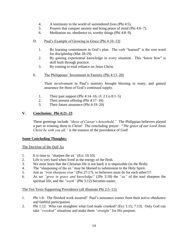- 4. A testimony to the world of surrendered lives (Phi 4:5).
- 5. Prayers that conquer anxiety and bring peace of mind (Phi 4:6–7).
- 6. Meditation on, obedience to, worthy things (Phi 4:8–9).
- D. Paul's Example of Growing in Grace (Phi 4:10–13)
	- 1. By learning contentment in God's plan. The verb "learned" is the root word for discipleship (Mat 28:19).
	- 2. By gaining experiential knowledge in every situation. This "know how" is skill built through practice.
	- 3. By coming to total reliance on Jesus Christ.
- E. The Philippians' Investment in Eternity (Phi 4:13–20)

Their involvement in Paul's ministry brought blessing to many, and gained assurance for them of God's continued supply.

- 1. Their past support (Phi 4:14–16; cf.  $2 \text{ Co } 8:1-5$ )
- 2. Their present offering (Phi 4:17–18)
- 3. Their future assurance (Phi 4:19–20)

## **V. Conclusion: Phi 4:21–23**

These greetings include *"those of Caesar's household."* The Philippian believers played a part in winning them to Christ! The concluding prayer: "*The grace of our Lord Jesus Christ be with you all,* " is the essence of the providence of God!

## **Some Concluding Thoughts:**

The Doctrine of the Dull Ax

- 1. It is time to *"*sharpen the ax*"* (Ecc 10:10).
- 2. Life is very hard when lived in the energy of the flesh.
- 3. We must learn that the Christian life is not hard; it is impossible (in the flesh).
- 4. The "sharpening of the ax*"* may be likened to submission to the Holy Spirit.
- 5. Just as *"iron sharpens iron"* (Pro 27:17), so believers must do for each other!!!!
- 6. As we *"grow in grace and knowledge"* (2Pe 3:18) the *"ax"* of the soul sharpens the spiritual life, and the *"work"* (Phi 3:12) becomes easier.

## The Ten Texts Supporting Providence (all illustrate Phi 2:5–11):

- 1. Phi 1:6: The finished work assured? Paul's assurance comes from their active obedience and faithful participation.
- 2. Phi 1:12: Who can straighten what God made crooked? (Ecc 1:15; 7:13). Only God can take *"crooked"* situations and make them *"straight"* for His purpose.